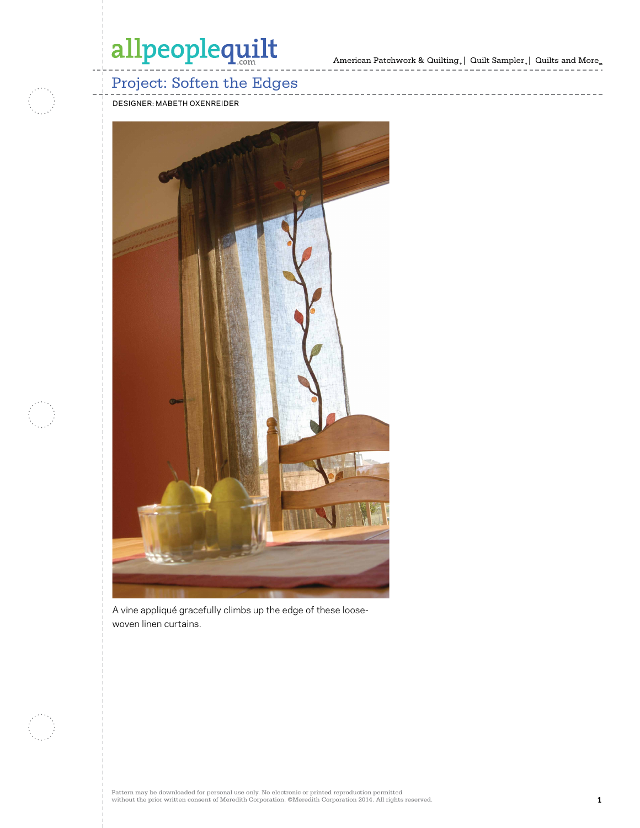# allpeoplequilt

American Patchwork & Quilting  $_{\circ} \vert \;$  Quilt Sampler  $_{\circ} \vert \;$  Quilts and More  $_{\circ} \;$ 

### Project: Soften the Edges

DESIGNER: MABETH OXENREIDER



A vine appliqué gracefully climbs up the edge of these loosewoven linen curtains.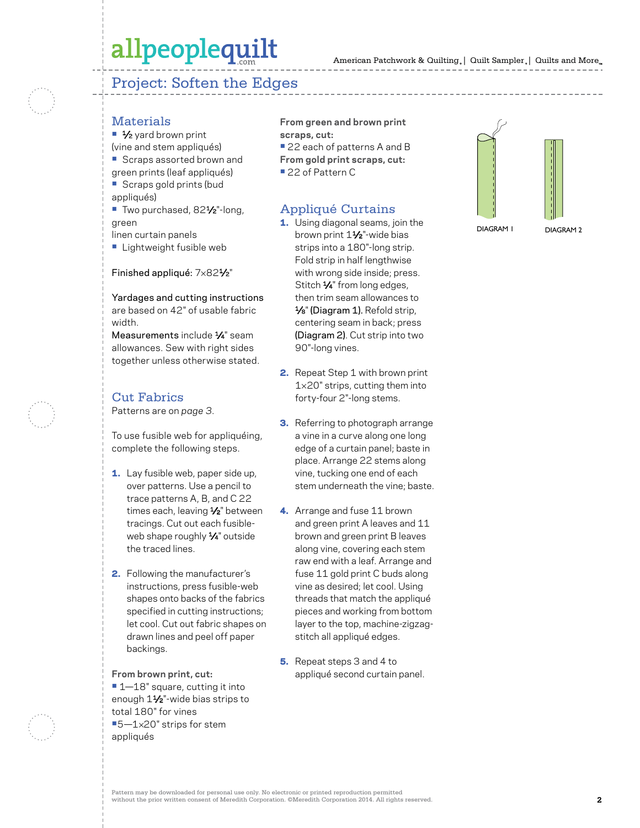## allpeoplequilt

Project: Soften the Edges

#### Materials

■ 1⁄2 yard brown print (vine and stem appliqués) **•** Scraps assorted brown and green prints (leaf appliqués) **•** Scraps gold prints (bud appliqués) ■ Two purchased, 82<sup>1</sup>/<sub>2</sub>"-long,

green linen curtain panels

**•** Lightweight fusible web

#### Finished appliqué: 7×821⁄2"

Yardages and cutting instructions are based on 42" of usable fabric width.

Measurements include  $\frac{1}{4}$ " seam allowances. Sew with right sides together unless otherwise stated.

### Cut Fabrics

Patterns are on *page 3*.

To use fusible web for appliquéing, complete the following steps.

- **1.** Lay fusible web, paper side up, over patterns. Use a pencil to trace patterns A, B, and C 22 times each, leaving 1/2" between tracings. Cut out each fusibleweb shape roughly 1/4" outside the traced lines.
- 2. Following the manufacturer's instructions, press fusible-web shapes onto backs of the fabrics specified in cutting instructions; let cool. Cut out fabric shapes on drawn lines and peel off paper backings.

**From brown print, cut: •** 1—18" square, cutting it into enough 11⁄2"-wide bias strips to total 180" for vines **•**5—1×20" strips for stem appliqués

**From green and brown print scraps, cut:**

**•** 22 each of patterns A and B **From gold print scraps, cut: •** 22 of Pattern C

### Appliqué Curtains

- 1. Using diagonal seams, join the brown print 11/2"-wide bias strips into a 180"-long strip. Fold strip in half lengthwise with wrong side inside; press. Stitch 1/4" from long edges, then trim seam allowances to 1⁄8" (Diagram 1). Refold strip, centering seam in back; press (Diagram 2). Cut strip into two 90"-long vines.
- 2. Repeat Step 1 with brown print 1×20" strips, cutting them into forty-four 2"-long stems.
- **3.** Referring to photograph arrange a vine in a curve along one long edge of a curtain panel; baste in place. Arrange 22 stems along vine, tucking one end of each stem underneath the vine; baste.
- 4. Arrange and fuse 11 brown and green print A leaves and 11 brown and green print B leaves along vine, covering each stem raw end with a leaf. Arrange and fuse 11 gold print C buds along vine as desired; let cool. Using threads that match the appliqué pieces and working from bottom layer to the top, machine-zigzagstitch all appliqué edges.
- 5. Repeat steps 3 and 4 to appliqué second curtain panel.



DIAGRAM 2